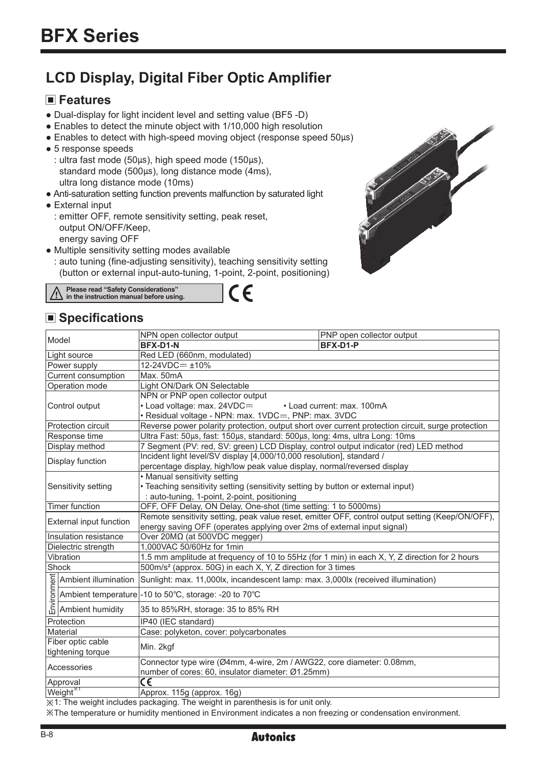# **LCD Display, Digital Fiber Optic Amplifier**

# **Features**

- Dual-display for light incident level and setting value (BF5 -D)
- Enables to detect the minute object with 1/10,000 high resolution
- Enables to detect with high-speed moving object (response speed 50µs)
- 5 response speeds
	- : ultra fast mode (50µs), high speed mode (150µs), standard mode (500µs), long distance mode (4ms), ultra long distance mode (10ms)
- Anti-saturation setting function prevents malfunction by saturated light
- External input
	- : emitter OFF, remote sensitivity setting, peak reset, output ON/OFF/Keep, energy saving OFF
- Multiple sensitivity setting modes available
	- : auto tuning (fine-adjusting sensitivity), teaching sensitivity setting (button or external input-auto-tuning, 1-point, 2-point, positioning)

 $\in$ 

**Please read "Safety Considerations" in the instruction manual before using.**

# ■ Specifications

| PNP open collector output                                                                                                                                                                                             |  |  |  |  |  |
|-----------------------------------------------------------------------------------------------------------------------------------------------------------------------------------------------------------------------|--|--|--|--|--|
|                                                                                                                                                                                                                       |  |  |  |  |  |
|                                                                                                                                                                                                                       |  |  |  |  |  |
| Red LED (660nm, modulated)<br>12-24VDC= ±10%                                                                                                                                                                          |  |  |  |  |  |
| Max. 50mA                                                                                                                                                                                                             |  |  |  |  |  |
| Light ON/Dark ON Selectable                                                                                                                                                                                           |  |  |  |  |  |
|                                                                                                                                                                                                                       |  |  |  |  |  |
| • Load current: max. 100mA                                                                                                                                                                                            |  |  |  |  |  |
|                                                                                                                                                                                                                       |  |  |  |  |  |
| Reverse power polarity protection, output short over current protection circuit, surge protection                                                                                                                     |  |  |  |  |  |
| Ultra Fast: 50µs, fast: 150µs, standard: 500µs, long: 4ms, ultra Long: 10ms                                                                                                                                           |  |  |  |  |  |
| 7 Segment (PV: red, SV: green) LCD Display, control output indicator (red) LED method                                                                                                                                 |  |  |  |  |  |
| Incident light level/SV display [4,000/10,000 resolution], standard /                                                                                                                                                 |  |  |  |  |  |
| percentage display, high/low peak value display, normal/reversed display                                                                                                                                              |  |  |  |  |  |
| • Manual sensitivity setting                                                                                                                                                                                          |  |  |  |  |  |
| • Teaching sensitivity setting (sensitivity setting by button or external input)                                                                                                                                      |  |  |  |  |  |
| : auto-tuning, 1-point, 2-point, positioning                                                                                                                                                                          |  |  |  |  |  |
| OFF, OFF Delay, ON Delay, One-shot (time setting: 1 to 5000ms)                                                                                                                                                        |  |  |  |  |  |
| Remote sensitivity setting, peak value reset, emitter OFF, control output setting (Keep/ON/OFF),                                                                                                                      |  |  |  |  |  |
| energy saving OFF (operates applying over 2ms of external input signal)<br>Over 20Μ $Ω$ (at 500VDC megger)                                                                                                            |  |  |  |  |  |
|                                                                                                                                                                                                                       |  |  |  |  |  |
|                                                                                                                                                                                                                       |  |  |  |  |  |
| 1.5 mm amplitude at frequency of 10 to 55Hz (for 1 min) in each X, Y, Z direction for 2 hours<br>500m/s <sup>2</sup> (approx. 50G) in each X, Y, Z direction for 3 times                                              |  |  |  |  |  |
|                                                                                                                                                                                                                       |  |  |  |  |  |
|                                                                                                                                                                                                                       |  |  |  |  |  |
|                                                                                                                                                                                                                       |  |  |  |  |  |
| Ambient illumination Sunlight: max. 11,000lx, incandescent lamp: max. 3,000lx (received illumination)<br>Ambient temperature -10 to 50°C, storage: -20 to 70°C<br>Ambient humidity 35 to 85%RH, storage: 35 to 85% RH |  |  |  |  |  |
| IP40 (IEC standard)                                                                                                                                                                                                   |  |  |  |  |  |
|                                                                                                                                                                                                                       |  |  |  |  |  |
| Case: polyketon, cover: polycarbonates                                                                                                                                                                                |  |  |  |  |  |
| Min. 2kgf                                                                                                                                                                                                             |  |  |  |  |  |
| Connector type wire (Ø4mm, 4-wire, 2m / AWG22, core diameter: 0.08mm,                                                                                                                                                 |  |  |  |  |  |
| number of cores: 60, insulator diameter: Ø1.25mm)                                                                                                                                                                     |  |  |  |  |  |
|                                                                                                                                                                                                                       |  |  |  |  |  |
|                                                                                                                                                                                                                       |  |  |  |  |  |
|                                                                                                                                                                                                                       |  |  |  |  |  |

※1: The weight includes packaging. The weight in parenthesis is for unit only.

※The temperature or humidity mentioned in Environment indicates a non freezing or condensation environment.

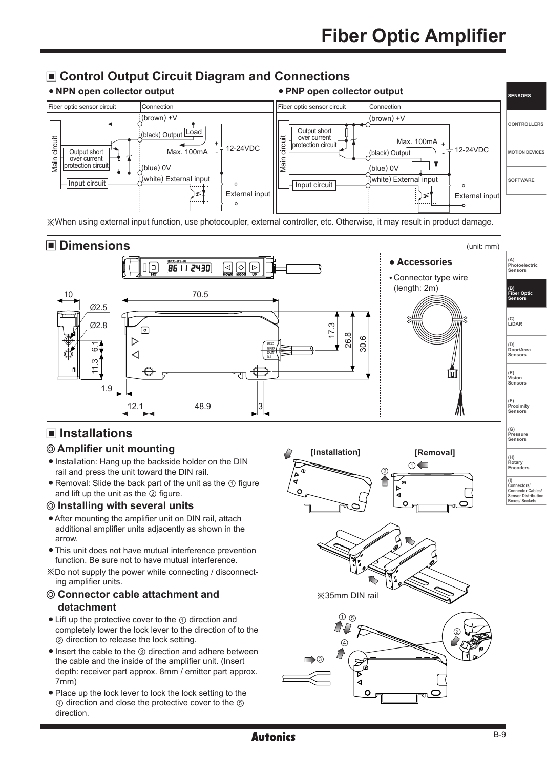# $\blacksquare$  **Control Output Circuit Diagram and Connections**





※When using external input function, use photocoupler, external controller, etc. Otherwise, it may result in product damage.



**Autonics** 

# **Installations**

### **Amplifier unit mounting**

- Installation: Hang up the backside holder on the DIN rail and press the unit toward the DIN rail.
- Removal: Slide the back part of the unit as the ① figure and lift up the unit as the ② figure.

### **Installing with several units**

- After mounting the amplifier unit on DIN rail, attach additional amplifier units adjacently as shown in the arrow.
- This unit does not have mutual interference prevention function. Be sure not to have mutual interference.
- ※Do not supply the power while connecting / disconnecting amplifier units.

### **Connector cable attachment and detachment**

- Lift up the protective cover to the ① direction and completely lower the lock lever to the direction of to the ② direction to release the lock setting.
- Insert the cable to the ③ direction and adhere between the cable and the inside of the amplifier unit. (Insert depth: receiver part approx. 8mm / emitter part approx. 7mm)
- Place up the lock lever to lock the lock setting to the ④ direction and close the protective cover to the ⑤ direction.



**Photoelectric Sensors**

> **Fiber On Sensors**

**(E) Vision**

**(F) Proximity**

**(G) Pressure Sensors** 

**(H) Rotary**

**Encoders (I)**

**Connectors/ Connector Cables/ Sensor Distribution Boxes/ Sockets**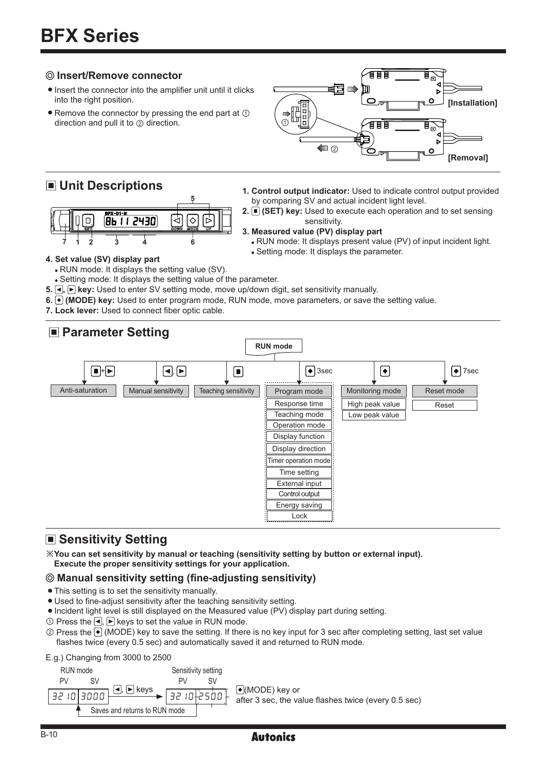### **Insert/Remove connector**

- $\bullet$  Insert the connector into the amplifier unit until it clicks into the right position.
- $\bullet$  Remove the connector by pressing the end part at  $\circled{1}$ direction and pull it to ② direction.

# **Unit Descriptions**



 $\Omega$ **[Installation]** ō  $\odot$  $\blacksquare$ **[Removal]**

有語

(∏≣

- **1. Control output indicator:** Used to indicate control output provided by comparing SV and actual incident light level.
- **2.** (SET) key: Used to execute each operation and to set sensing sensitivity.

### **3. Measured value (PV) display part**

- RUN mode: It displays present value (PV) of input incident light.
- Setting mode: It displays the parameter.

### **4. Set value (SV) display part**

RUN mode: It displays the setting value (SV).

Setting mode: It displays the setting value of the parameter.

- **5.**  $\lceil \cdot \rceil$  key: Used to enter SV setting mode, move up/down digit, set sensitivity manually.
- **6. (MODE) key:** Used to enter program mode, RUN mode, move parameters, or save the setting value.
- **7. Lock lever:** Used to connect fiber optic cable.

### **RUN mode** + , 3sec 7sec Anti-saturation Manual sensitivity Teaching sensitivity Program mode Monitoring mode Reset mode Response time  $\|\cdot\|$  High peak value Low peak value Reset Teaching mode Operation mode Display function Display direction Timer operation mode Time setting Control output External input Energy saving **Lock Parameter Setting**

# **Sensitivity Setting**

※**You can set sensitivity by manual or teaching (sensitivity setting by button or external input). Execute the proper sensitivity settings for your application.**

### **Manual sensitivity setting (fine-adjusting sensitivity)**

- This setting is to set the sensitivity manually.
- Used to fine-adjust sensitivity after the teaching sensitivity setting.
- $\bullet$  Incident light level is still displayed on the Measured value (PV) display part during setting.
- $\circled{1}$  Press the  $\lceil \bullet \rceil$  keys to set the value in RUN mode.
- © Press the (MODE) key to save the setting. If there is no key input for 3 sec after completing setting, last set value flashes twice (every 0.5 sec) and automatically saved it and returned to RUN mode.

### E.g.) Changing from 3000 to 2500



(MODE) key or after 3 sec, the value flashes twice (every 0.5 sec)

### **Autonics**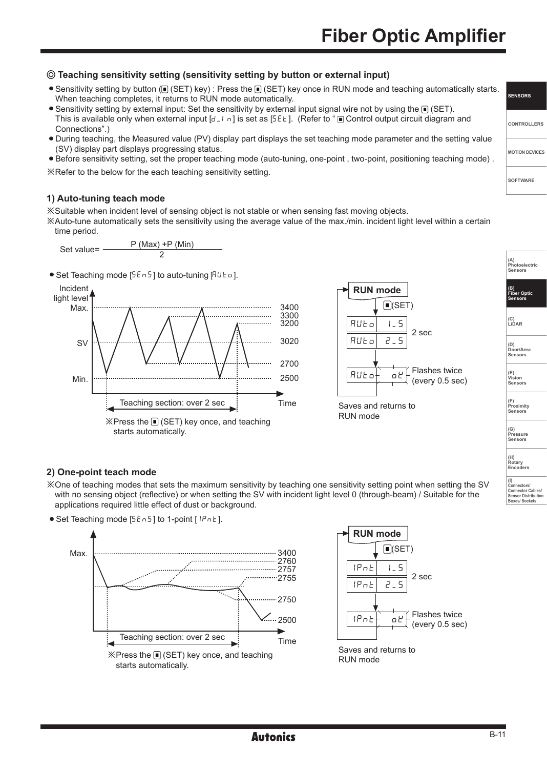# **Teaching sensitivity setting (sensitivity setting by button or external input)**

- Sensitivity setting by button ( $\blacksquare$ ) (SET) key) : Press the  $\blacksquare$  (SET) key once in RUN mode and teaching automatically starts. When teaching completes, it returns to RUN mode automatically.
- Sensitivity setting by external input: Set the sensitivity by external input signal wire not by using the  $\blacksquare$  (SET). This is available only when external input  $[d-l]$  is set as [5EE]. (Refer to " $\blacksquare$  Control output circuit diagram and Connections".)
- During teaching, the Measured value (PV) display part displays the set teaching mode parameter and the setting value (SV) display part displays progressing status.
- Before sensitivity setting, set the proper teaching mode (auto-tuning, one-point , two-point, positioning teaching mode) .

※Refer to the below for the each teaching sensitivity setting.

### **1) Auto-tuning teach mode**

※Suitable when incident level of sensing object is not stable or when sensing fast moving objects.

※Auto-tune automatically sets the sensitivity using the average value of the max./min. incident light level within a certain time period.



 $\bullet$  Set Teaching mode [5En5] to auto-tuning [AUE o].





RUN mode

### **(G) Pressure Sensors (H) Rotary**

**Encoders** 

**(I)**

**Connectors/ Connector Cables/ Sensor Distribution Boxes/ Sockets**

### **2) One-point teach mode**

※One of teaching modes that sets the maximum sensitivity by teaching one sensitivity setting point when setting the SV with no sensing object (reflective) or when setting the SV with incident light level 0 (through-beam) / Suitable for the applications required little effect of dust or background.

● Set Teaching mode [5En5] to 1-point [IPnE].





|  | <b>SENSORS</b> |  |
|--|----------------|--|
|  |                |  |

**CONTROLLERS MOTION DEVICES**

**SOFTWARE**

**(A) Photoelectric Sensors (B) Fiber Optic Sensors**

**(C) LiDAR** 

**(D) Door/Area Sensors**

**(E) Vision Sensors**

**(F) Proximity Sensors**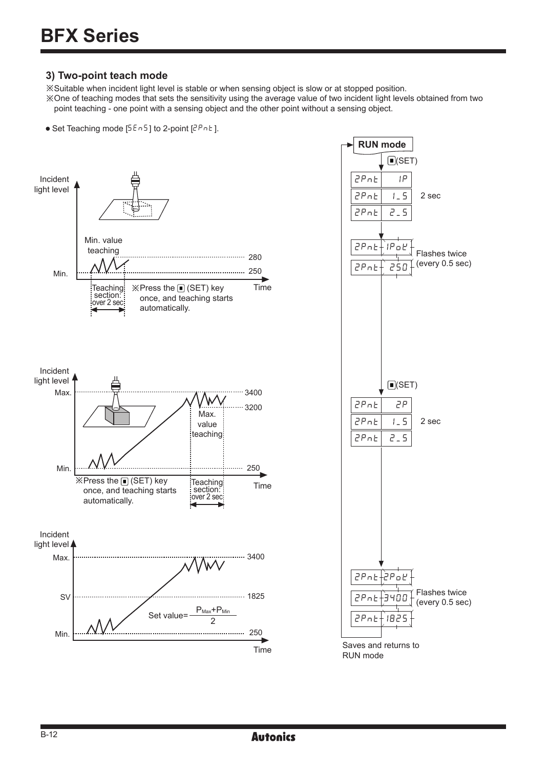### **3) Two-point teach mode**

※Suitable when incident light level is stable or when sensing object is slow or at stopped position.

※One of teaching modes that sets the sensitivity using the average value of two incident light levels obtained from two point teaching - one point with a sensing object and the other point without a sensing object.





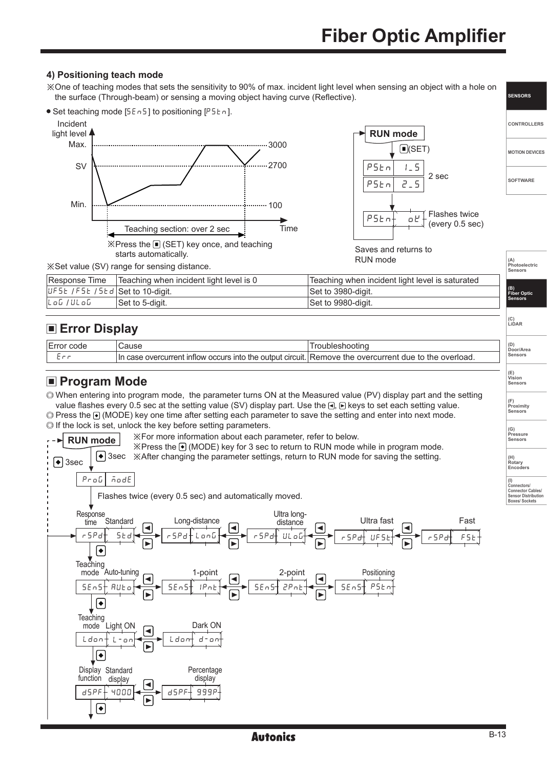# **Fiber Optic Amplifier**

**SENSORS**

**(D) Door/Area Sensors**

**(E) Vision Sensors**

**(F) Proximity Sensors** 

### **4) Positioning teach mode**

※One of teaching modes that sets the sensitivity to 90% of max. incident light level when sensing an object with a hole on the surface (Through-beam) or sensing a moving object having curve (Reflective).



# **Error Display**

| code | $\sim$<br>aust                                                                                   | $\sim$                                                  |
|------|--------------------------------------------------------------------------------------------------|---------------------------------------------------------|
|      | OCCLIES.<br><b>Into</b><br>the.<br>output circu<br>In<br>overcurrent<br>"CLIIT<br>ıntl∩w<br>case | overload.<br>*he<br>OVercurrent<br>Remove<br>the<br>۱۱۵ |

### **Program Mode**

When entering into program mode, the parameter turns ON at the Measured value (PV) display part and the setting value flashes every 0.5 sec at the setting value (SV) display part. Use the  $\Box$ ,  $\Box$  keys to set each setting value.

 Press the (MODE) key one time after setting each parameter to save the setting and enter into next mode.  $\odot$  If the lock is set, unlock the key before setting parameters.



### **Autonics**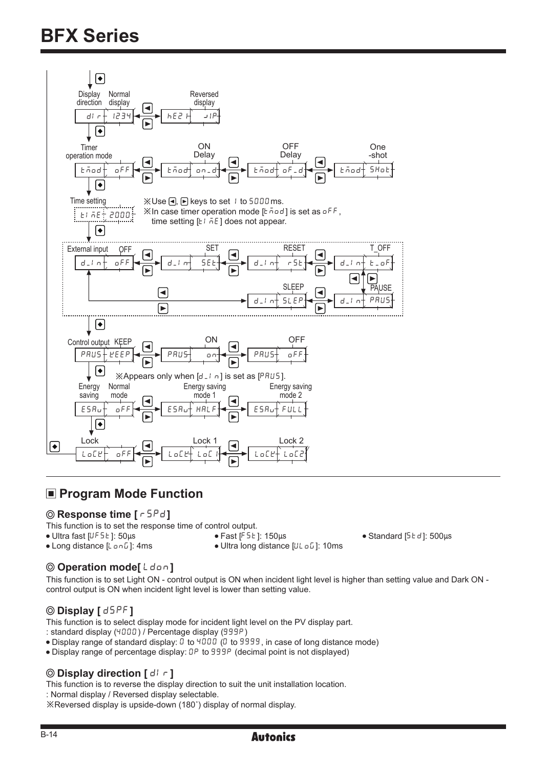

# **Program Mode Function**

### **@ Response time [** $\sqrt{5Pd}$ ]

This function is to set the response time of control output.<br>• Ultra fast [UF5E]:  $50\mu s$  • Fast [F5E]:  $150\mu s$ 

- 
- 

- 
- $\bullet$  Ultra fast [UFSE]: 50μs<br>  $\bullet$  Fast [FSE]: 150μs<br>  $\bullet$  Long distance [U c D]: 10ms<br>  $\bullet$  Ultra long distance [U c D]: 10ms  $\bullet$  Ultra long distance [ULoG]: 10ms
- **O** Operation mode[Ldon]

This function is to set Light ON - control output is ON when incident light level is higher than setting value and Dark ON control output is ON when incident light level is lower than setting value.

### $\odot$  **Display** [  $d5PF$  ]

This function is to select display mode for incident light level on the PV display part.

- : standard display (4000) / Percentage display (999P)
- Display range of standard display: 0 to 4000 (0 to 9999, in case of long distance mode)
- Display range of percentage display: 0P to 999P (decimal point is not displayed)

### **O** Display direction  $\lceil d \rceil$   $\lceil d \rceil$

This function is to reverse the display direction to suit the unit installation location.

: Normal display / Reversed display selectable.

※Reversed display is upside-down (180˚) display of normal display.

# **Autonics**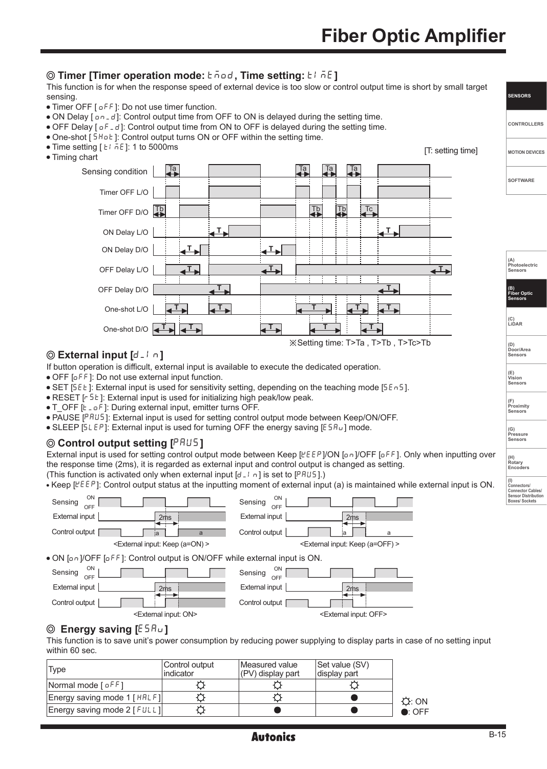### **O** Timer [Timer operation mode:  $\overline{c}$  and, Time setting:  $\overline{c}$  i and  $\overline{c}$ ]

This function is for when the response speed of external device is too slow or control output time is short by small target sensing.

- Timer OFF [  $o$  F F ]: Do not use timer function.
- ON Delay  $[0, d]$ : Control output time from OFF to ON is delayed during the setting time.
- $\bullet$  OFF Delay  $[ \circ F d ]$ : Control output time from ON to OFF is delayed during the setting time.
- One-shot [5Hot]: Control output turns ON or OFF within the setting time.
- Time setting  $[ t 1 \overline{h}t ]$ : 1 to 5000ms
- Timing chart



### **External input [d\_In]**

If button operation is difficult, external input is available to execute the dedicated operation.

OFF [OFF]: Do not use external input function.

- $\bullet$  SET [5EE]: External input is used for sensitivity setting, depending on the teaching mode [5En5].
- RESET [ $F$ 5E]: External input is used for initializing high peak/low peak.
- T\_OFF [ $t_0$  o F]: During external input, emitter turns OFF.
- PAUSE [PAUS]: External input is used for setting control output mode between Keep/ON/OFF.
- $\bullet$  SLEEP [5LEP]: External input is used for turning OFF the energy saving [E5Ru] mode.

### **Control output setting [**PAUS**]**

External input is used for setting control output mode between Keep [KEEP]/ON [on]/OFF [oFF]. Only when inputting over the response time (2ms), it is regarded as external input and control output is changed as setting. (This function is activated only when external input  $[d_1 \cap i]$  is set to  $[PHUS]$ .)

• Keep  $[EEP]$ : Control output status at the inputting moment of external input (a) is maintained while external input is ON.



### **8** Energy saving [ESRu]

This function is to save unit's power consumption by reducing power supplying to display parts in case of no setting input within 60 sec.

| Type                              | Control output<br>indicator | Measured value<br>(PV) display part | Set value (SV)<br>display part |                 |
|-----------------------------------|-----------------------------|-------------------------------------|--------------------------------|-----------------|
| Normal mode $f \circ f f$ ]       |                             |                                     |                                |                 |
| Energy saving mode 1 [HRLF]       |                             |                                     |                                | Q:ON            |
| Energy saving mode $2$ [ $FULL$ ] |                             |                                     |                                | $\bullet$ : OFF |

| <b>SENSORS</b> |  |
|----------------|--|
|                |  |

**MOTION DEVICES**

**CONTROLLERS**

**SOFTWARE**

**(A) Photoelectric Sensors**

**(B) Fiber Optic Sensors**

**(C) LiDAR** 

**(D) Door/Area Sensors**

**(E) Vision Sensors**

**(F) Proximity Sensors** 

**(G) Pressure**

**Sensors** 

**(H) Rotary Encoders** 

**(I) Connectors/ Connector Cables/ Sensor Distribution Boxes/ Sockets**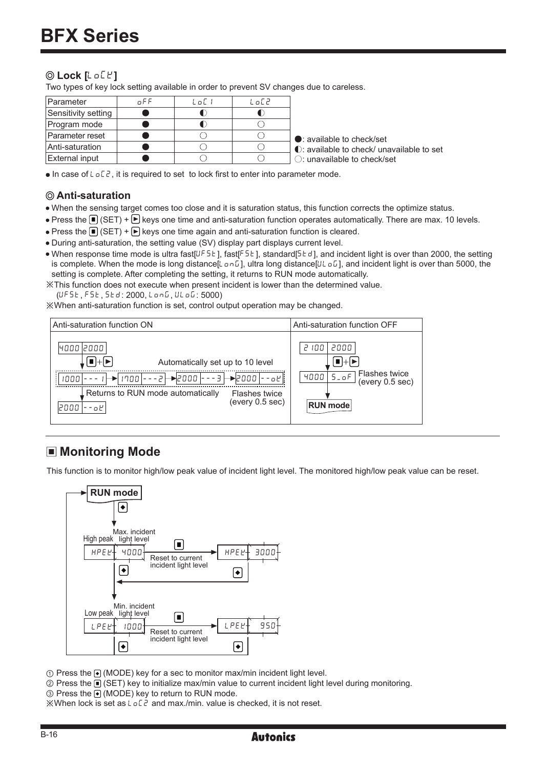## **Lock [**LOCK**]**

Two types of key lock setting available in order to prevent SV changes due to careless.

| <b>Parameter</b>    | n F F | ا اما | LoC2 |                                           |
|---------------------|-------|-------|------|-------------------------------------------|
| Sensitivity setting |       |       |      |                                           |
| Program mode        |       |       |      |                                           |
| lParameter reset    |       |       |      | $\bullet$ : available to check/set        |
| Anti-saturation     |       |       |      | ◯: available to check/ unavailable to set |
| External input      |       |       |      | $\bigcirc$ : unavailable to check/set     |

 $\bullet$  In case of L  $\circ$  L  $\circ$ , it is required to set to lock first to enter into parameter mode.

### **Anti-saturation**

- When the sensing target comes too close and it is saturation status, this function corrects the optimize status.
- Press the  $\blacksquare$  (SET) +  $\blacktriangleright$  keys one time and anti-saturation function operates automatically. There are max. 10 levels.
- Press the  $\Box$  (SET) +  $\Box$  keys one time again and anti-saturation function is cleared.
- During anti-saturation, the setting value (SV) display part displays current level.
- When response time mode is ultra fast[UF5E], fast[F5E], standard[5Ed], and incident light is over than 2000, the setting is complete. When the mode is long distance[LonG], ultra long distance[ULoG], and incident light is over than 5000, the setting is complete. After completing the setting, it returns to RUN mode automatically.

※This function does not execute when present incident is lower than the determined value.

(UFSE, FSE, SEd: 2000, LonG, ULoG: 5000)

※When anti-saturation function is set, control output operation may be changed.



# ■ Monitoring Mode

This function is to monitor high/low peak value of incident light level. The monitored high/low peak value can be reset.



① Press the (MODE) key for a sec to monitor max/min incident light level.

② Press the (SET) key to initialize max/min value to current incident light level during monitoring.

③ Press the (MODE) key to return to RUN mode.

 $\mathbb{X}$ When lock is set as  $L \circ L^2$  and max./min. value is checked, it is not reset.